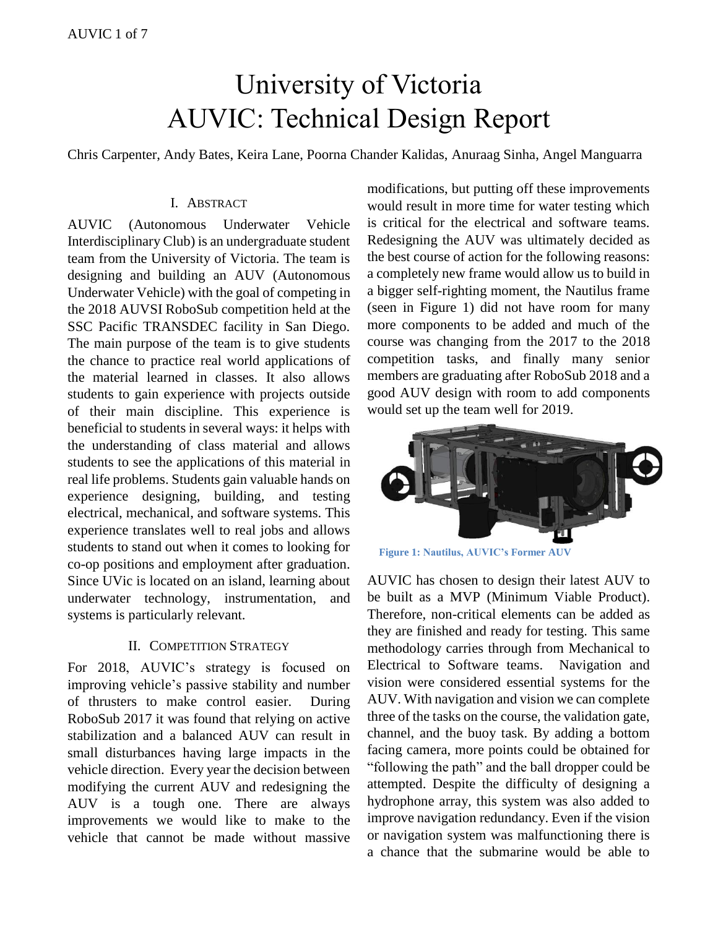# University of Victoria AUVIC: Technical Design Report

Chris Carpenter, Andy Bates, Keira Lane, Poorna Chander Kalidas, Anuraag Sinha, Angel Manguarra

## I. ABSTRACT

AUVIC (Autonomous Underwater Vehicle Interdisciplinary Club) is an undergraduate student team from the University of Victoria. The team is designing and building an AUV (Autonomous Underwater Vehicle) with the goal of competing in the 2018 AUVSI RoboSub competition held at the SSC Pacific TRANSDEC facility in San Diego. The main purpose of the team is to give students the chance to practice real world applications of the material learned in classes. It also allows students to gain experience with projects outside of their main discipline. This experience is beneficial to students in several ways: it helps with the understanding of class material and allows students to see the applications of this material in real life problems. Students gain valuable hands on experience designing, building, and testing electrical, mechanical, and software systems. This experience translates well to real jobs and allows students to stand out when it comes to looking for co-op positions and employment after graduation. Since UVic is located on an island, learning about underwater technology, instrumentation, and systems is particularly relevant.

## II. COMPETITION STRATEGY

For 2018, AUVIC's strategy is focused on improving vehicle's passive stability and number of thrusters to make control easier. During RoboSub 2017 it was found that relying on active stabilization and a balanced AUV can result in small disturbances having large impacts in the vehicle direction. Every year the decision between modifying the current AUV and redesigning the AUV is a tough one. There are always improvements we would like to make to the vehicle that cannot be made without massive modifications, but putting off these improvements would result in more time for water testing which is critical for the electrical and software teams. Redesigning the AUV was ultimately decided as the best course of action for the following reasons: a completely new frame would allow us to build in a bigger self-righting moment, the Nautilus frame (seen in [Figure 1\)](#page-0-0) did not have room for many more components to be added and much of the course was changing from the 2017 to the 2018 competition tasks, and finally many senior members are graduating after RoboSub 2018 and a good AUV design with room to add components would set up the team well for 2019.



**Figure 1: Nautilus, AUVIC's Former AUV**

<span id="page-0-0"></span>AUVIC has chosen to design their latest AUV to be built as a MVP (Minimum Viable Product). Therefore, non-critical elements can be added as they are finished and ready for testing. This same methodology carries through from Mechanical to Electrical to Software teams. Navigation and vision were considered essential systems for the AUV. With navigation and vision we can complete three of the tasks on the course, the validation gate, channel, and the buoy task. By adding a bottom facing camera, more points could be obtained for "following the path" and the ball dropper could be attempted. Despite the difficulty of designing a hydrophone array, this system was also added to improve navigation redundancy. Even if the vision or navigation system was malfunctioning there is a chance that the submarine would be able to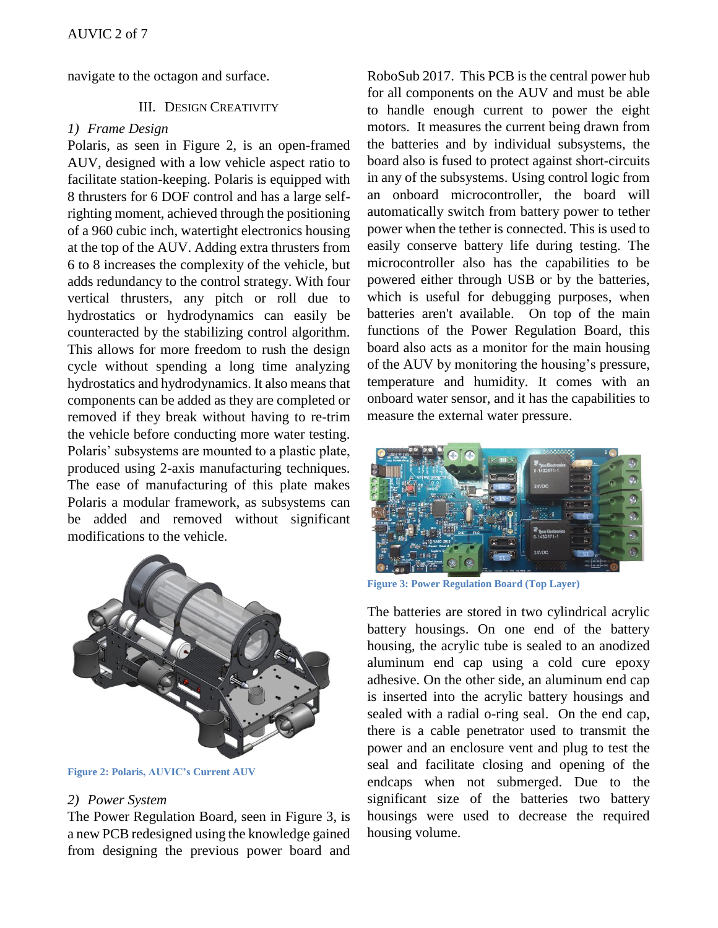navigate to the octagon and surface.

## III. DESIGN CREATIVITY

## *1) Frame Design*

Polaris*,* as seen in [Figure 2](#page-1-0)*,* is an open-framed AUV, designed with a low vehicle aspect ratio to facilitate station-keeping. Polaris is equipped with 8 thrusters for 6 DOF control and has a large selfrighting moment, achieved through the positioning of a 960 cubic inch, watertight electronics housing at the top of the AUV. Adding extra thrusters from 6 to 8 increases the complexity of the vehicle, but adds redundancy to the control strategy. With four vertical thrusters, any pitch or roll due to hydrostatics or hydrodynamics can easily be counteracted by the stabilizing control algorithm. This allows for more freedom to rush the design cycle without spending a long time analyzing hydrostatics and hydrodynamics. It also means that components can be added as they are completed or removed if they break without having to re-trim the vehicle before conducting more water testing. Polaris' subsystems are mounted to a plastic plate, produced using 2-axis manufacturing techniques. The ease of manufacturing of this plate makes Polaris a modular framework, as subsystems can be added and removed without significant modifications to the vehicle.



**Figure 2: Polaris, AUVIC's Current AUV**

## <span id="page-1-0"></span>*2) Power System*

The Power Regulation Board, seen in [Figure 3,](#page-1-1) is a new PCB redesigned using the knowledge gained from designing the previous power board and RoboSub 2017. This PCB is the central power hub for all components on the AUV and must be able to handle enough current to power the eight motors. It measures the current being drawn from the batteries and by individual subsystems, the board also is fused to protect against short-circuits in any of the subsystems. Using control logic from an onboard microcontroller, the board will automatically switch from battery power to tether power when the tether is connected. This is used to easily conserve battery life during testing. The microcontroller also has the capabilities to be powered either through USB or by the batteries, which is useful for debugging purposes, when batteries aren't available. On top of the main functions of the Power Regulation Board, this board also acts as a monitor for the main housing of the AUV by monitoring the housing's pressure, temperature and humidity. It comes with an onboard water sensor, and it has the capabilities to measure the external water pressure.



**Figure 3: Power Regulation Board (Top Layer)**

<span id="page-1-1"></span>The batteries are stored in two cylindrical acrylic battery housings. On one end of the battery housing, the acrylic tube is sealed to an anodized aluminum end cap using a cold cure epoxy adhesive. On the other side, an aluminum end cap is inserted into the acrylic battery housings and sealed with a radial o-ring seal. On the end cap, there is a cable penetrator used to transmit the power and an enclosure vent and plug to test the seal and facilitate closing and opening of the endcaps when not submerged. Due to the significant size of the batteries two battery housings were used to decrease the required housing volume.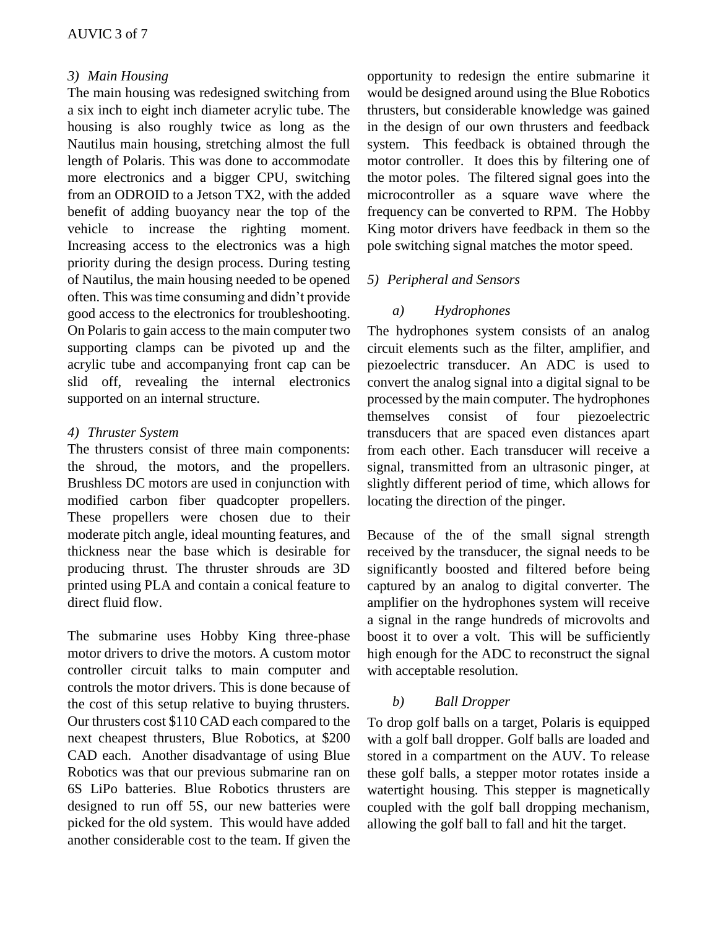# *3) Main Housing*

The main housing was redesigned switching from a six inch to eight inch diameter acrylic tube. The housing is also roughly twice as long as the Nautilus main housing, stretching almost the full length of Polaris. This was done to accommodate more electronics and a bigger CPU, switching from an ODROID to a Jetson TX2, with the added benefit of adding buoyancy near the top of the vehicle to increase the righting moment. Increasing access to the electronics was a high priority during the design process. During testing of Nautilus, the main housing needed to be opened often. This was time consuming and didn't provide good access to the electronics for troubleshooting. On Polaris to gain access to the main computer two supporting clamps can be pivoted up and the acrylic tube and accompanying front cap can be slid off, revealing the internal electronics supported on an internal structure.

## *4) Thruster System*

The thrusters consist of three main components: the shroud, the motors, and the propellers. Brushless DC motors are used in conjunction with modified carbon fiber quadcopter propellers. These propellers were chosen due to their moderate pitch angle, ideal mounting features, and thickness near the base which is desirable for producing thrust. The thruster shrouds are 3D printed using PLA and contain a conical feature to direct fluid flow.

The submarine uses Hobby King three-phase motor drivers to drive the motors. A custom motor controller circuit talks to main computer and controls the motor drivers. This is done because of the cost of this setup relative to buying thrusters. Our thrusters cost \$110 CAD each compared to the next cheapest thrusters, Blue Robotics, at \$200 CAD each. Another disadvantage of using Blue Robotics was that our previous submarine ran on 6S LiPo batteries. Blue Robotics thrusters are designed to run off 5S, our new batteries were picked for the old system. This would have added another considerable cost to the team. If given the opportunity to redesign the entire submarine it would be designed around using the Blue Robotics thrusters, but considerable knowledge was gained in the design of our own thrusters and feedback system. This feedback is obtained through the motor controller. It does this by filtering one of the motor poles. The filtered signal goes into the microcontroller as a square wave where the frequency can be converted to RPM. The Hobby King motor drivers have feedback in them so the pole switching signal matches the motor speed.

# *5) Peripheral and Sensors*

# *a) Hydrophones*

The hydrophones system consists of an analog circuit elements such as the filter, amplifier, and piezoelectric transducer. An ADC is used to convert the analog signal into a digital signal to be processed by the main computer. The hydrophones themselves consist of four piezoelectric transducers that are spaced even distances apart from each other. Each transducer will receive a signal, transmitted from an ultrasonic pinger, at slightly different period of time, which allows for locating the direction of the pinger.

Because of the of the small signal strength received by the transducer, the signal needs to be significantly boosted and filtered before being captured by an analog to digital converter. The amplifier on the hydrophones system will receive a signal in the range hundreds of microvolts and boost it to over a volt. This will be sufficiently high enough for the ADC to reconstruct the signal with acceptable resolution.

# *b) Ball Dropper*

To drop golf balls on a target, Polaris is equipped with a golf ball dropper. Golf balls are loaded and stored in a compartment on the AUV. To release these golf balls, a stepper motor rotates inside a watertight housing. This stepper is magnetically coupled with the golf ball dropping mechanism, allowing the golf ball to fall and hit the target.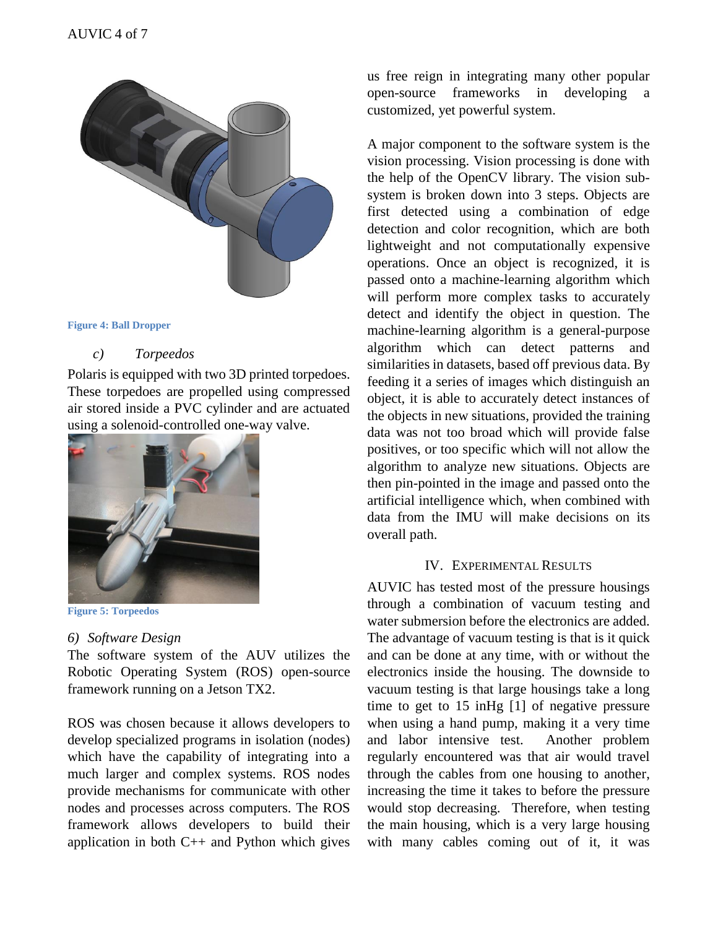

#### **Figure 4: Ball Dropper**

## *c) Torpeedos*

Polaris is equipped with two 3D printed torpedoes. These torpedoes are propelled using compressed air stored inside a PVC cylinder and are actuated using a solenoid-controlled one-way valve.



#### **Figure 5: Torpeedos**

## *6) Software Design*

The software system of the AUV utilizes the Robotic Operating System (ROS) open-source framework running on a Jetson TX2.

ROS was chosen because it allows developers to develop specialized programs in isolation (nodes) which have the capability of integrating into a much larger and complex systems. ROS nodes provide mechanisms for communicate with other nodes and processes across computers. The ROS framework allows developers to build their application in both C++ and Python which gives us free reign in integrating many other popular open-source frameworks in developing a customized, yet powerful system.

A major component to the software system is the vision processing. Vision processing is done with the help of the OpenCV library. The vision subsystem is broken down into 3 steps. Objects are first detected using a combination of edge detection and color recognition, which are both lightweight and not computationally expensive operations. Once an object is recognized, it is passed onto a machine-learning algorithm which will perform more complex tasks to accurately detect and identify the object in question. The machine-learning algorithm is a general-purpose algorithm which can detect patterns and similarities in datasets, based off previous data. By feeding it a series of images which distinguish an object, it is able to accurately detect instances of the objects in new situations, provided the training data was not too broad which will provide false positives, or too specific which will not allow the algorithm to analyze new situations. Objects are then pin-pointed in the image and passed onto the artificial intelligence which, when combined with data from the IMU will make decisions on its overall path.

## IV. EXPERIMENTAL RESULTS

AUVIC has tested most of the pressure housings through a combination of vacuum testing and water submersion before the electronics are added. The advantage of vacuum testing is that is it quick and can be done at any time, with or without the electronics inside the housing. The downside to vacuum testing is that large housings take a long time to get to 15 inHg [1] of negative pressure when using a hand pump, making it a very time and labor intensive test. Another problem regularly encountered was that air would travel through the cables from one housing to another, increasing the time it takes to before the pressure would stop decreasing. Therefore, when testing the main housing, which is a very large housing with many cables coming out of it, it was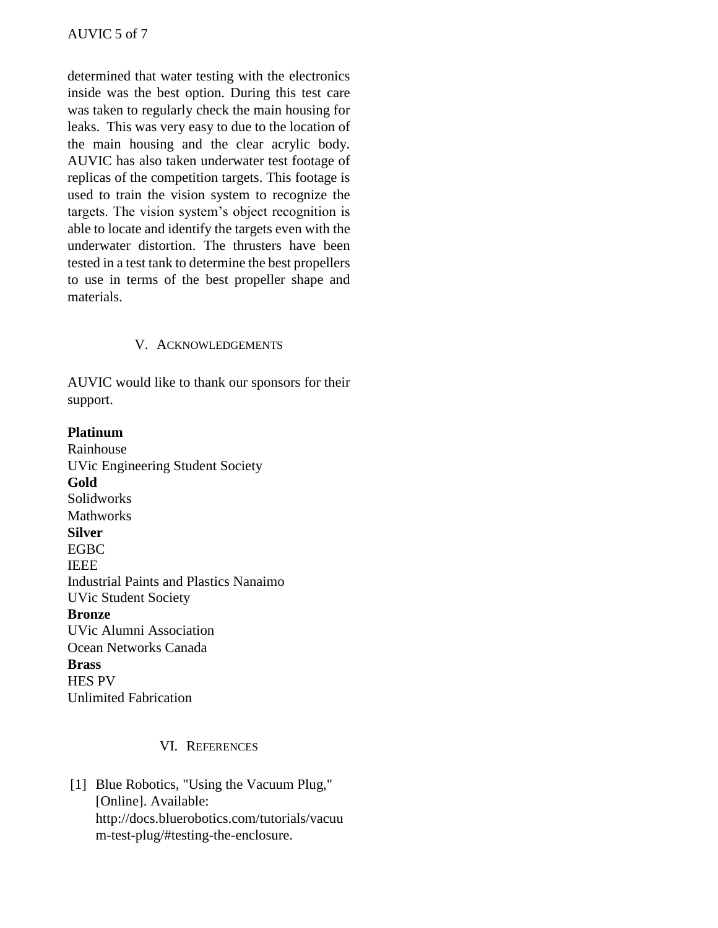determined that water testing with the electronics inside was the best option. During this test care was taken to regularly check the main housing for leaks. This was very easy to due to the location of the main housing and the clear acrylic body. AUVIC has also taken underwater test footage of replicas of the competition targets. This footage is used to train the vision system to recognize the targets. The vision system's object recognition is able to locate and identify the targets even with the underwater distortion. The thrusters have been tested in a test tank to determine the best propellers to use in terms of the best propeller shape and materials.

# V. ACKNOWLEDGEMENTS

AUVIC would like to thank our sponsors for their support.

# **Platinum**

Rainhouse UVic Engineering Student Society **Gold** Solidworks **Mathworks Silver** EGBC IEEE Industrial Paints and Plastics Nanaimo UVic Student Society **Bronze** UVic Alumni Association Ocean Networks Canada **Brass** HES PV Unlimited Fabrication

# VI. REFERENCES

[1] Blue Robotics, "Using the Vacuum Plug," [Online]. Available: http://docs.bluerobotics.com/tutorials/vacuu m-test-plug/#testing-the-enclosure.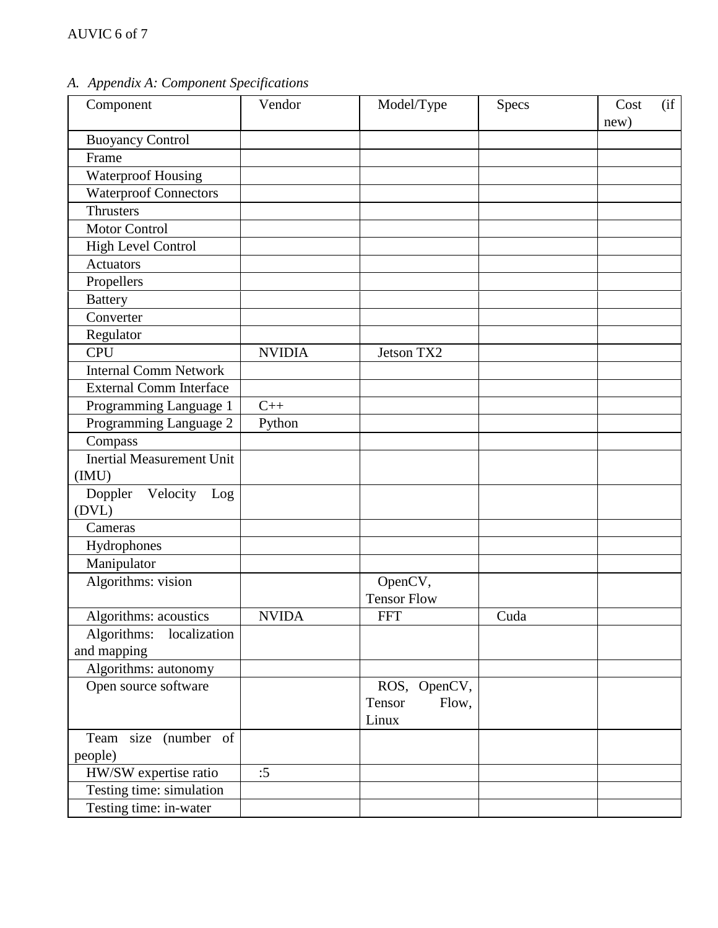*A. Appendix A: Component Specifications*

| Component                           | Vendor        | Model/Type               | Specs | (i f)<br>Cost<br>new) |
|-------------------------------------|---------------|--------------------------|-------|-----------------------|
| <b>Buoyancy Control</b>             |               |                          |       |                       |
| Frame                               |               |                          |       |                       |
| <b>Waterproof Housing</b>           |               |                          |       |                       |
| <b>Waterproof Connectors</b>        |               |                          |       |                       |
| <b>Thrusters</b>                    |               |                          |       |                       |
| <b>Motor Control</b>                |               |                          |       |                       |
| High Level Control                  |               |                          |       |                       |
| <b>Actuators</b>                    |               |                          |       |                       |
| Propellers                          |               |                          |       |                       |
| <b>Battery</b>                      |               |                          |       |                       |
| Converter                           |               |                          |       |                       |
| Regulator                           |               |                          |       |                       |
| <b>CPU</b>                          | <b>NVIDIA</b> | Jetson TX2               |       |                       |
| <b>Internal Comm Network</b>        |               |                          |       |                       |
| <b>External Comm Interface</b>      |               |                          |       |                       |
| Programming Language 1              | $C++$         |                          |       |                       |
| Programming Language 2              | Python        |                          |       |                       |
| Compass                             |               |                          |       |                       |
| <b>Inertial Measurement Unit</b>    |               |                          |       |                       |
| (IMU)                               |               |                          |       |                       |
| Doppler<br>Velocity<br>Log<br>(DVL) |               |                          |       |                       |
| Cameras                             |               |                          |       |                       |
| Hydrophones                         |               |                          |       |                       |
| Manipulator                         |               |                          |       |                       |
| Algorithms: vision                  |               | OpenCV,                  |       |                       |
|                                     |               | <b>Tensor Flow</b>       |       |                       |
| Algorithms: acoustics               | <b>NVIDA</b>  | <b>FFT</b>               | Cuda  |                       |
| Algorithms: localization            |               |                          |       |                       |
| and mapping                         |               |                          |       |                       |
| Algorithms: autonomy                |               |                          |       |                       |
| Open source software                |               | ROS, OpenCV,             |       |                       |
|                                     |               | Tensor<br>Flow,<br>Linux |       |                       |
| Team size (number of                |               |                          |       |                       |
| people)                             |               |                          |       |                       |
| HW/SW expertise ratio               | :5            |                          |       |                       |
| Testing time: simulation            |               |                          |       |                       |
| Testing time: in-water              |               |                          |       |                       |